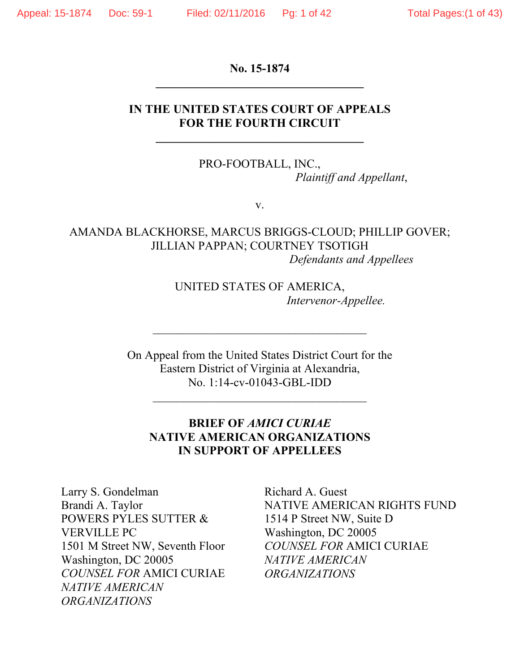**No. 15-1874 \_\_\_\_\_\_\_\_\_\_\_\_\_\_\_\_\_\_\_\_\_\_\_\_\_\_\_\_\_\_\_\_\_\_\_** 

## **IN THE UNITED STATES COURT OF APPEALS FOR THE FOURTH CIRCUIT**

PRO-FOOTBALL, INC., *Plaintiff and Appellant*,

v.

AMANDA BLACKHORSE, MARCUS BRIGGS-CLOUD; PHILLIP GOVER; JILLIAN PAPPAN; COURTNEY TSOTIGH *Defendants and Appellees*

> UNITED STATES OF AMERICA, *Intervenor-Appellee.*

On Appeal from the United States District Court for the Eastern District of Virginia at Alexandria, No. 1:14-cv-01043-GBL-IDD

 $\mathcal{L}_\text{max}$ 

 $\overline{\phantom{a}}$  , where  $\overline{\phantom{a}}$  , where  $\overline{\phantom{a}}$  ,  $\overline{\phantom{a}}$  ,  $\overline{\phantom{a}}$  ,  $\overline{\phantom{a}}$  ,  $\overline{\phantom{a}}$  ,  $\overline{\phantom{a}}$  ,  $\overline{\phantom{a}}$  ,  $\overline{\phantom{a}}$  ,  $\overline{\phantom{a}}$  ,  $\overline{\phantom{a}}$  ,  $\overline{\phantom{a}}$  ,  $\overline{\phantom{a}}$  ,  $\overline{\phantom{a}}$  ,

## **BRIEF OF** *AMICI CURIAE* **NATIVE AMERICAN ORGANIZATIONS IN SUPPORT OF APPELLEES**

Larry S. Gondelman Brandi A. Taylor POWERS PYLES SUTTER & VERVILLE PC 1501 M Street NW, Seventh Floor Washington, DC 20005 *COUNSEL FOR* AMICI CURIAE *NATIVE AMERICAN ORGANIZATIONS*

Richard A. Guest NATIVE AMERICAN RIGHTS FUND 1514 P Street NW, Suite D Washington, DC 20005 *COUNSEL FOR* AMICI CURIAE *NATIVE AMERICAN ORGANIZATIONS*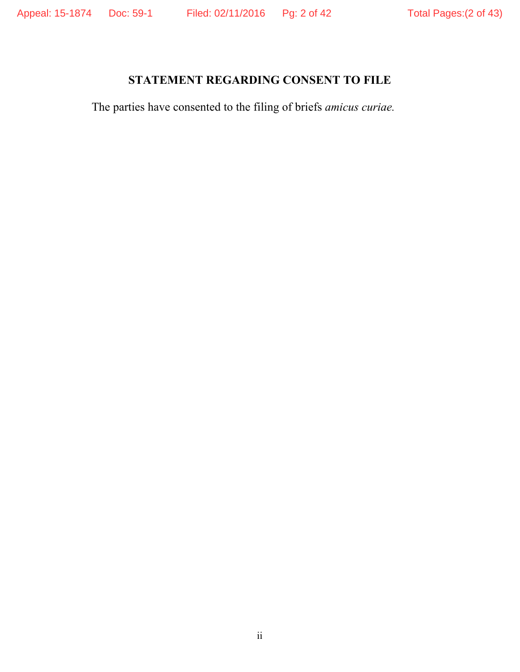# **STATEMENT REGARDING CONSENT TO FILE**

The parties have consented to the filing of briefs *amicus curiae.*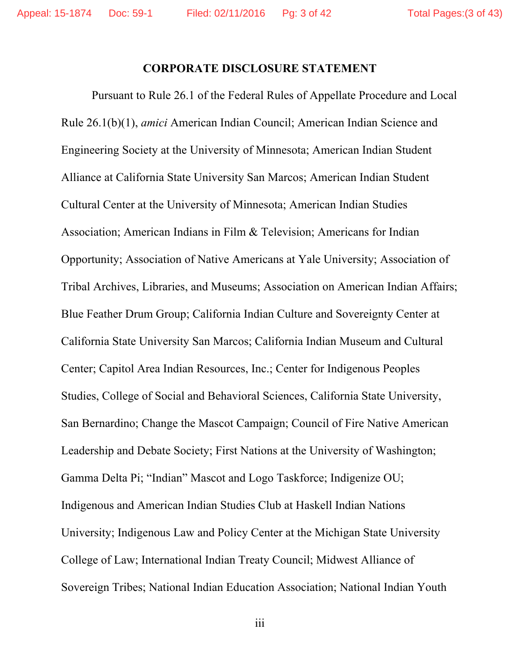#### **CORPORATE DISCLOSURE STATEMENT**

Pursuant to Rule 26.1 of the Federal Rules of Appellate Procedure and Local Rule 26.1(b)(1), *amici* American Indian Council; American Indian Science and Engineering Society at the University of Minnesota; American Indian Student Alliance at California State University San Marcos; American Indian Student Cultural Center at the University of Minnesota; American Indian Studies Association; American Indians in Film & Television; Americans for Indian Opportunity; Association of Native Americans at Yale University; Association of Tribal Archives, Libraries, and Museums; Association on American Indian Affairs; Blue Feather Drum Group; California Indian Culture and Sovereignty Center at California State University San Marcos; California Indian Museum and Cultural Center; Capitol Area Indian Resources, Inc.; Center for Indigenous Peoples Studies, College of Social and Behavioral Sciences, California State University, San Bernardino; Change the Mascot Campaign; Council of Fire Native American Leadership and Debate Society; First Nations at the University of Washington; Gamma Delta Pi; "Indian" Mascot and Logo Taskforce; Indigenize OU; Indigenous and American Indian Studies Club at Haskell Indian Nations University; Indigenous Law and Policy Center at the Michigan State University College of Law; International Indian Treaty Council; Midwest Alliance of Sovereign Tribes; National Indian Education Association; National Indian Youth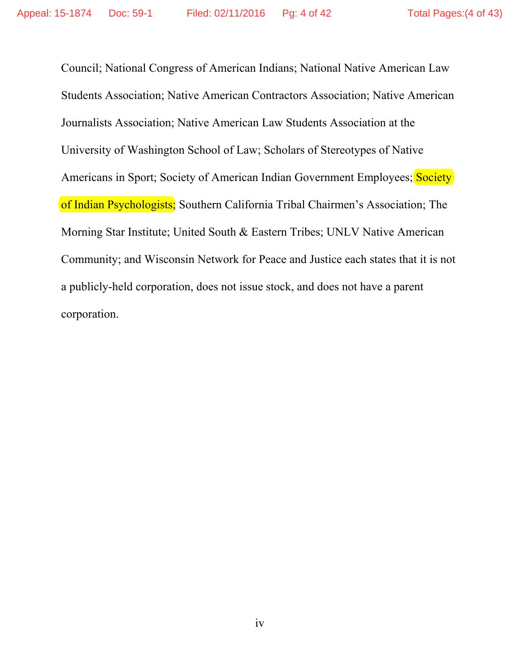Council; National Congress of American Indians; National Native American Law Students Association; Native American Contractors Association; Native American Journalists Association; Native American Law Students Association at the University of Washington School of Law; Scholars of Stereotypes of Native Americans in Sport; Society of American Indian Government Employees; Society of Indian Psychologists; Southern California Tribal Chairmen's Association; The Morning Star Institute; United South & Eastern Tribes; UNLV Native American Community; and Wisconsin Network for Peace and Justice each states that it is not a publicly-held corporation, does not issue stock, and does not have a parent corporation.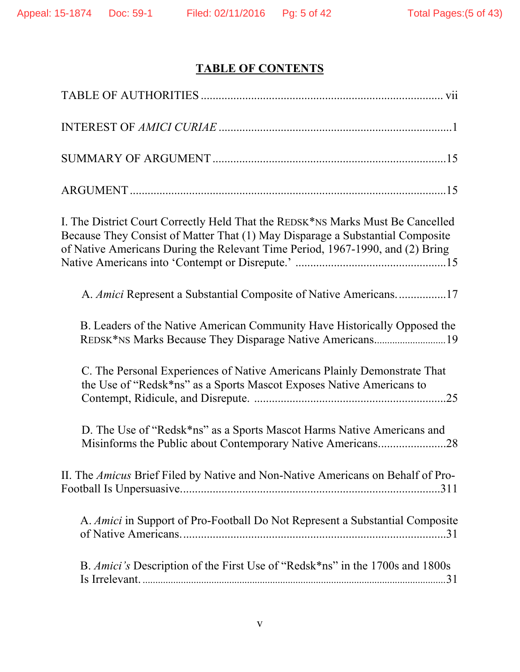# **TABLE OF CONTENTS**

| I. The District Court Correctly Held That the REDSK*NS Marks Must Be Cancelled<br>Because They Consist of Matter That (1) May Disparage a Substantial Composite<br>of Native Americans During the Relevant Time Period, 1967-1990, and (2) Bring |
|--------------------------------------------------------------------------------------------------------------------------------------------------------------------------------------------------------------------------------------------------|
| A. Amici Represent a Substantial Composite of Native Americans17                                                                                                                                                                                 |
| B. Leaders of the Native American Community Have Historically Opposed the                                                                                                                                                                        |
| C. The Personal Experiences of Native Americans Plainly Demonstrate That<br>the Use of "Redsk*ns" as a Sports Mascot Exposes Native Americans to                                                                                                 |
| D. The Use of "Redsk*ns" as a Sports Mascot Harms Native Americans and<br>Misinforms the Public about Contemporary Native Americans28                                                                                                            |
| II. The Amicus Brief Filed by Native and Non-Native Americans on Behalf of Pro-                                                                                                                                                                  |
| A. Amici in Support of Pro-Football Do Not Represent a Substantial Composite                                                                                                                                                                     |
| B. Amici's Description of the First Use of "Redsk*ns" in the 1700s and 1800s                                                                                                                                                                     |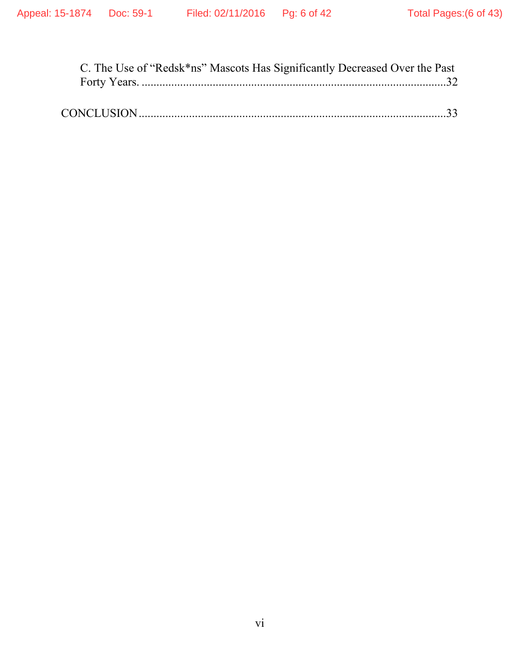| C. The Use of "Redsk*ns" Mascots Has Significantly Decreased Over the Past |
|----------------------------------------------------------------------------|
|                                                                            |
|                                                                            |
|                                                                            |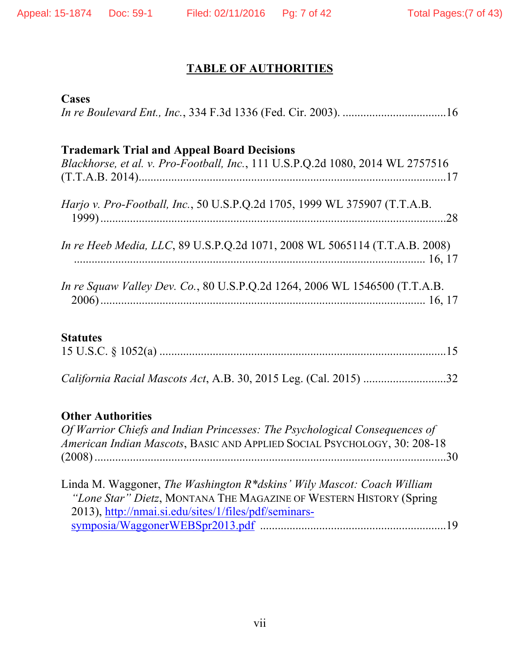# **TABLE OF AUTHORITIES**

### **Cases**

| <b>Trademark Trial and Appeal Board Decisions</b><br>Blackhorse, et al. v. Pro-Football, Inc., 111 U.S.P.Q.2d 1080, 2014 WL 2757516 |
|-------------------------------------------------------------------------------------------------------------------------------------|
| Harjo v. Pro-Football, Inc., 50 U.S.P.Q.2d 1705, 1999 WL 375907 (T.T.A.B.                                                           |
| In re Heeb Media, LLC, 89 U.S.P.Q.2d 1071, 2008 WL 5065114 (T.T.A.B. 2008)                                                          |
| <i>In re Squaw Valley Dev. Co., 80 U.S.P.Q.2d 1264, 2006 WL 1546500 (T.T.A.B.</i>                                                   |

# **Statutes**

|--|

*California Racial Mascots Act*, A.B. 30, 2015 Leg. (Cal. 2015) ............................ 32

# **Other Authorities**

| Of Warrior Chiefs and Indian Princesses: The Psychological Consequences of |  |
|----------------------------------------------------------------------------|--|
| American Indian Mascots, BASIC AND APPLIED SOCIAL PSYCHOLOGY, 30: 208-18   |  |
|                                                                            |  |

| Linda M. Waggoner, The Washington R*dskins' Wily Mascot: Coach William |  |
|------------------------------------------------------------------------|--|
| "Lone Star" Dietz, MONTANA THE MAGAZINE OF WESTERN HISTORY (Spring)    |  |
| 2013), http://nmai.si.edu/sites/1/files/pdf/seminars-                  |  |
|                                                                        |  |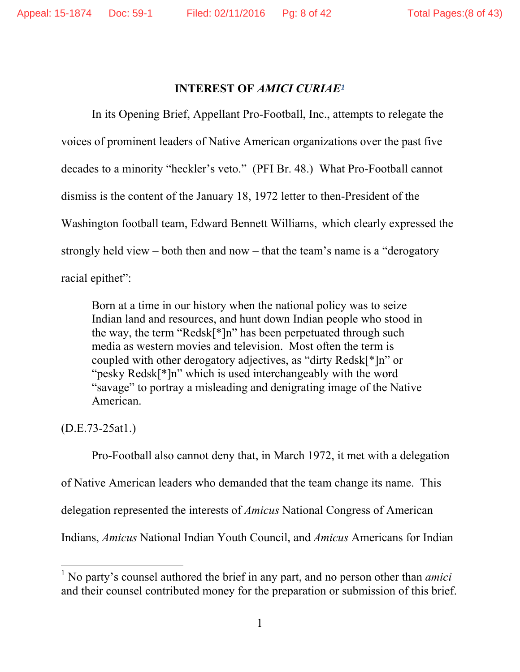#### **INTEREST OF** *AMICI CURIAE<sup>1</sup>*

 In its Opening Brief, Appellant Pro-Football, Inc., attempts to relegate the voices of prominent leaders of Native American organizations over the past five decades to a minority "heckler's veto." (PFI Br. 48.) What Pro-Football cannot dismiss is the content of the January 18, 1972 letter to then-President of the Washington football team, Edward Bennett Williams, which clearly expressed the strongly held view – both then and now – that the team's name is a "derogatory racial epithet":

Born at a time in our history when the national policy was to seize Indian land and resources, and hunt down Indian people who stood in the way, the term "Redsk[\*]n" has been perpetuated through such media as western movies and television. Most often the term is coupled with other derogatory adjectives, as "dirty Redsk[\*]n" or "pesky Redsk[\*]n" which is used interchangeably with the word "savage" to portray a misleading and denigrating image of the Native American.

(D.E.73-25at1.)

 $\overline{a}$ 

Pro-Football also cannot deny that, in March 1972, it met with a delegation of Native American leaders who demanded that the team change its name. This delegation represented the interests of *Amicus* National Congress of American Indians, *Amicus* National Indian Youth Council, and *Amicus* Americans for Indian

<sup>1</sup> No party's counsel authored the brief in any part, and no person other than *amici*  and their counsel contributed money for the preparation or submission of this brief.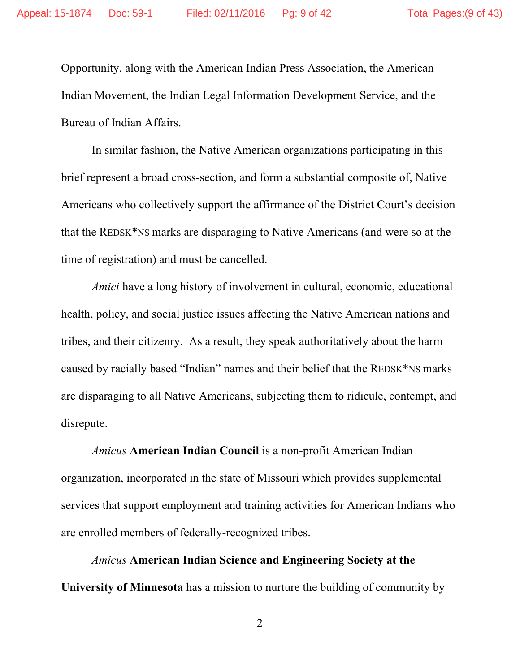Opportunity, along with the American Indian Press Association, the American Indian Movement, the Indian Legal Information Development Service, and the Bureau of Indian Affairs.

In similar fashion, the Native American organizations participating in this brief represent a broad cross-section, and form a substantial composite of, Native Americans who collectively support the affirmance of the District Court's decision that the REDSK\*NS marks are disparaging to Native Americans (and were so at the time of registration) and must be cancelled.

*Amici* have a long history of involvement in cultural, economic, educational health, policy, and social justice issues affecting the Native American nations and tribes, and their citizenry. As a result, they speak authoritatively about the harm caused by racially based "Indian" names and their belief that the REDSK\*NS marks are disparaging to all Native Americans, subjecting them to ridicule, contempt, and disrepute.

*Amicus* **American Indian Council** is a non-profit American Indian organization, incorporated in the state of Missouri which provides supplemental services that support employment and training activities for American Indians who are enrolled members of federally-recognized tribes.

*Amicus* **American Indian Science and Engineering Society at the University of Minnesota** has a mission to nurture the building of community by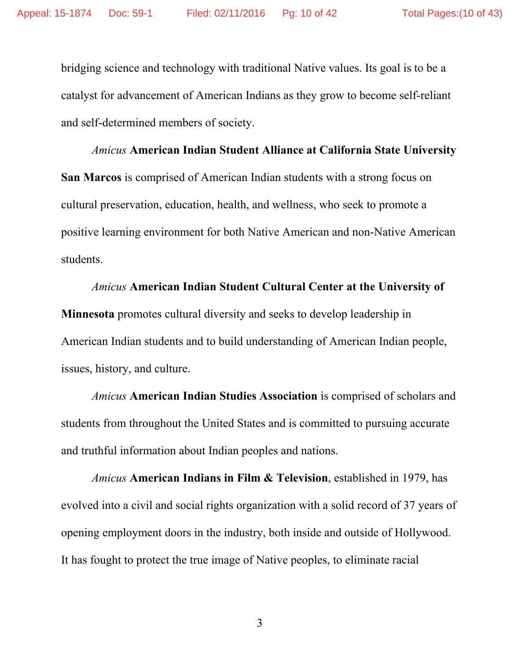bridging science and technology with traditional Native values. Its goal is to be a catalyst for advancement of American Indians as they grow to become self-reliant and self-determined members of society.

*Amicus* **American Indian Student Alliance at California State University San Marcos** is comprised of American Indian students with a strong focus on cultural preservation, education, health, and wellness, who seek to promote a positive learning environment for both Native American and non-Native American students.

*Amicus* **American Indian Student Cultural Center at the University of Minnesota** promotes cultural diversity and seeks to develop leadership in American Indian students and to build understanding of American Indian people, issues, history, and culture.

*Amicus* **American Indian Studies Association** is comprised of scholars and students from throughout the United States and is committed to pursuing accurate and truthful information about Indian peoples and nations.

*Amicus* **American Indians in Film & Television**, established in 1979, has evolved into a civil and social rights organization with a solid record of 37 years of opening employment doors in the industry, both inside and outside of Hollywood. It has fought to protect the true image of Native peoples, to eliminate racial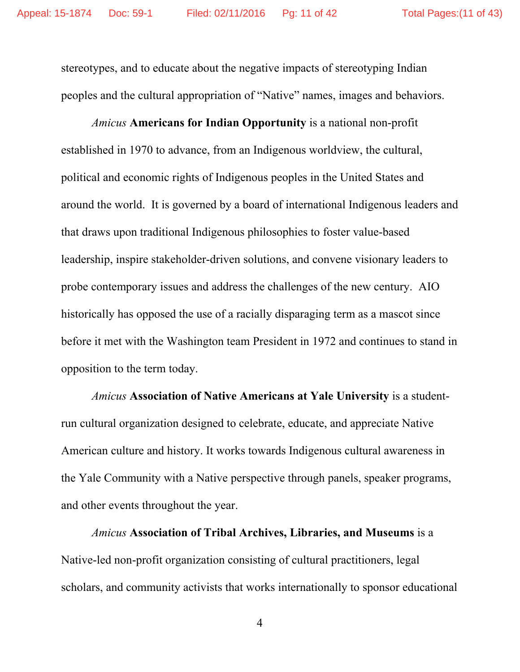stereotypes, and to educate about the negative impacts of stereotyping Indian peoples and the cultural appropriation of "Native" names, images and behaviors.

*Amicus* **Americans for Indian Opportunity** is a national non-profit established in 1970 to advance, from an Indigenous worldview, the cultural, political and economic rights of Indigenous peoples in the United States and around the world. It is governed by a board of international Indigenous leaders and that draws upon traditional Indigenous philosophies to foster value-based leadership, inspire stakeholder-driven solutions, and convene visionary leaders to probe contemporary issues and address the challenges of the new century. AIO historically has opposed the use of a racially disparaging term as a mascot since before it met with the Washington team President in 1972 and continues to stand in opposition to the term today.

*Amicus* **Association of Native Americans at Yale University** is a studentrun cultural organization designed to celebrate, educate, and appreciate Native American culture and history. It works towards Indigenous cultural awareness in the Yale Community with a Native perspective through panels, speaker programs, and other events throughout the year.

*Amicus* **Association of Tribal Archives, Libraries, and Museums** is a Native-led non-profit organization consisting of cultural practitioners, legal scholars, and community activists that works internationally to sponsor educational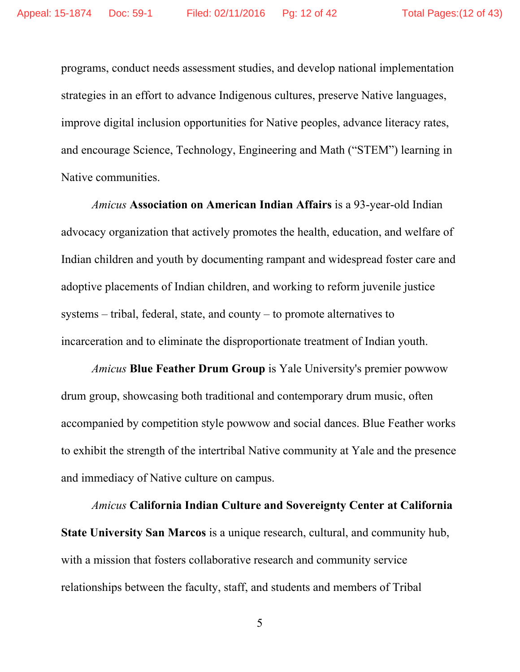programs, conduct needs assessment studies, and develop national implementation strategies in an effort to advance Indigenous cultures, preserve Native languages, improve digital inclusion opportunities for Native peoples, advance literacy rates, and encourage Science, Technology, Engineering and Math ("STEM") learning in Native communities.

*Amicus* **Association on American Indian Affairs** is a 93-year-old Indian advocacy organization that actively promotes the health, education, and welfare of Indian children and youth by documenting rampant and widespread foster care and adoptive placements of Indian children, and working to reform juvenile justice systems – tribal, federal, state, and county – to promote alternatives to incarceration and to eliminate the disproportionate treatment of Indian youth.

*Amicus* **Blue Feather Drum Group** is Yale University's premier powwow drum group, showcasing both traditional and contemporary drum music, often accompanied by competition style powwow and social dances. Blue Feather works to exhibit the strength of the intertribal Native community at Yale and the presence and immediacy of Native culture on campus.

*Amicus* **California Indian Culture and Sovereignty Center at California State University San Marcos** is a unique research, cultural, and community hub, with a mission that fosters collaborative research and community service relationships between the faculty, staff, and students and members of Tribal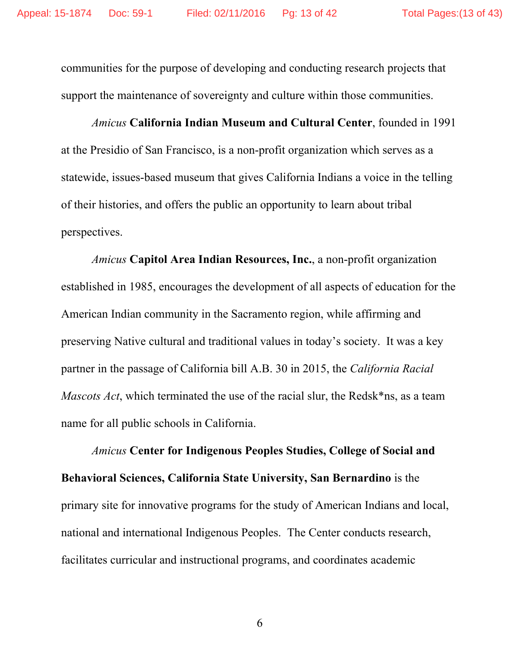communities for the purpose of developing and conducting research projects that support the maintenance of sovereignty and culture within those communities.

*Amicus* **California Indian Museum and Cultural Center**, founded in 1991 at the Presidio of San Francisco, is a non-profit organization which serves as a statewide, issues-based museum that gives California Indians a voice in the telling of their histories, and offers the public an opportunity to learn about tribal perspectives.

*Amicus* **Capitol Area Indian Resources, Inc.**, a non-profit organization established in 1985, encourages the development of all aspects of education for the American Indian community in the Sacramento region, while affirming and preserving Native cultural and traditional values in today's society. It was a key partner in the passage of California bill A.B. 30 in 2015, the *California Racial Mascots Act*, which terminated the use of the racial slur, the Redsk\*ns, as a team name for all public schools in California.

*Amicus* **Center for Indigenous Peoples Studies, College of Social and Behavioral Sciences, California State University, San Bernardino** is the primary site for innovative programs for the study of American Indians and local, national and international Indigenous Peoples. The Center conducts research, facilitates curricular and instructional programs, and coordinates academic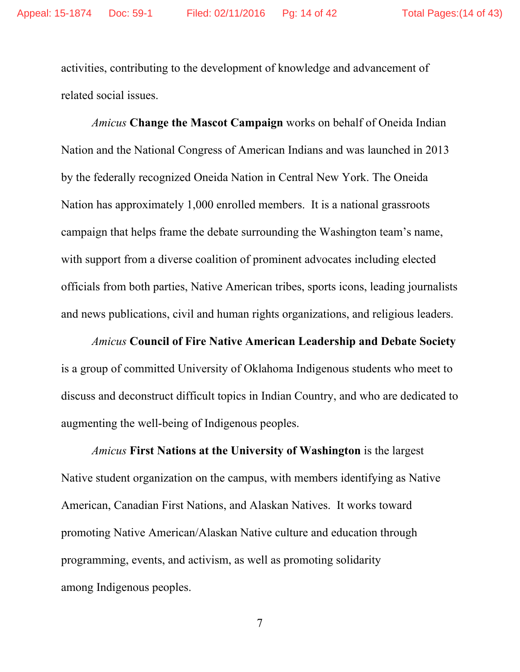activities, contributing to the development of knowledge and advancement of related social issues.

*Amicus* **Change the Mascot Campaign** works on behalf of Oneida Indian Nation and the National Congress of American Indians and was launched in 2013 by the federally recognized Oneida Nation in Central New York. The Oneida Nation has approximately 1,000 enrolled members. It is a national grassroots campaign that helps frame the debate surrounding the Washington team's name, with support from a diverse coalition of prominent advocates including elected officials from both parties, Native American tribes, sports icons, leading journalists and news publications, civil and human rights organizations, and religious leaders.

*Amicus* **Council of Fire Native American Leadership and Debate Society** is a group of committed University of Oklahoma Indigenous students who meet to discuss and deconstruct difficult topics in Indian Country, and who are dedicated to augmenting the well-being of Indigenous peoples.

*Amicus* **First Nations at the University of Washington** is the largest Native student organization on the campus, with members identifying as Native American, Canadian First Nations, and Alaskan Natives. It works toward promoting Native American/Alaskan Native culture and education through programming, events, and activism, as well as promoting solidarity among Indigenous peoples.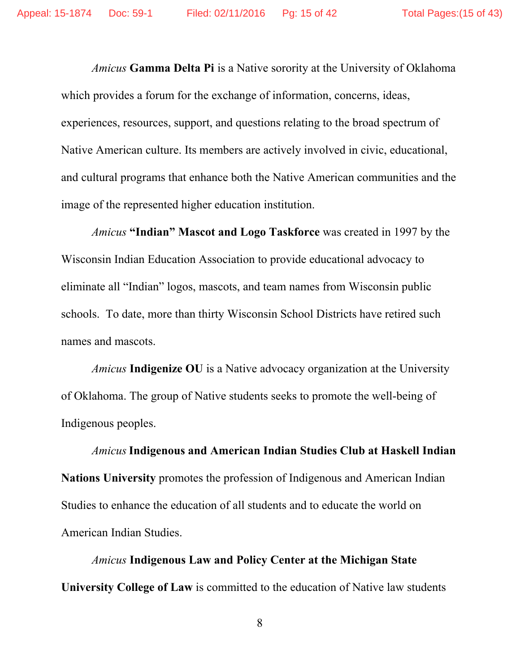*Amicus* **Gamma Delta Pi** is a Native sorority at the University of Oklahoma which provides a forum for the exchange of information, concerns, ideas, experiences, resources, support, and questions relating to the broad spectrum of Native American culture. Its members are actively involved in civic, educational, and cultural programs that enhance both the Native American communities and the image of the represented higher education institution.

*Amicus* **"Indian" Mascot and Logo Taskforce** was created in 1997 by the Wisconsin Indian Education Association to provide educational advocacy to eliminate all "Indian" logos, mascots, and team names from Wisconsin public schools. To date, more than thirty Wisconsin School Districts have retired such names and mascots.

*Amicus* **Indigenize OU** is a Native advocacy organization at the University of Oklahoma. The group of Native students seeks to promote the well-being of Indigenous peoples.

*Amicus***Indigenous and American Indian Studies Club at Haskell Indian Nations University** promotes the profession of Indigenous and American Indian Studies to enhance the education of all students and to educate the world on American Indian Studies.

*Amicus* **Indigenous Law and Policy Center at the Michigan State University College of Law** is committed to the education of Native law students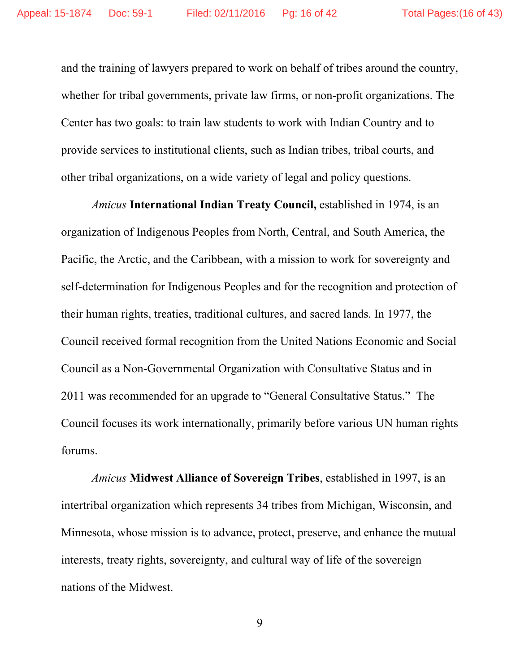and the training of lawyers prepared to work on behalf of tribes around the country, whether for tribal governments, private law firms, or non-profit organizations. The Center has two goals: to train law students to work with Indian Country and to provide services to institutional clients, such as Indian tribes, tribal courts, and other tribal organizations, on a wide variety of legal and policy questions.

*Amicus* **International Indian Treaty Council,** established in 1974, is an organization of Indigenous Peoples from North, Central, and South America, the Pacific, the Arctic, and the Caribbean, with a mission to work for sovereignty and self-determination for Indigenous Peoples and for the recognition and protection of their human rights, treaties, traditional cultures, and sacred lands. In 1977, the Council received formal recognition from the United Nations Economic and Social Council as a Non-Governmental Organization with Consultative Status and in 2011 was recommended for an upgrade to "General Consultative Status." The Council focuses its work internationally, primarily before various UN human rights forums.

*Amicus* **Midwest Alliance of Sovereign Tribes**, established in 1997, is an intertribal organization which represents 34 tribes from Michigan, Wisconsin, and Minnesota, whose mission is to advance, protect, preserve, and enhance the mutual interests, treaty rights, sovereignty, and cultural way of life of the sovereign nations of the Midwest.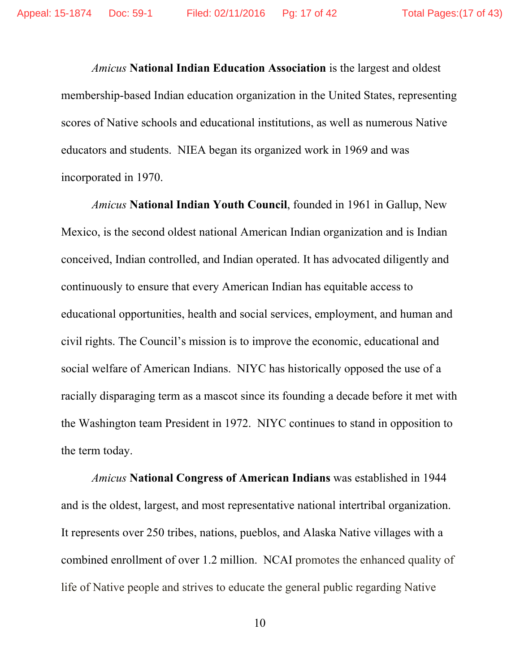*Amicus* **National Indian Education Association** is the largest and oldest membership-based Indian education organization in the United States, representing scores of Native schools and educational institutions, as well as numerous Native educators and students. NIEA began its organized work in 1969 and was incorporated in 1970.

*Amicus* **National Indian Youth Council**, founded in 1961 in Gallup, New Mexico, is the second oldest national American Indian organization and is Indian conceived, Indian controlled, and Indian operated. It has advocated diligently and continuously to ensure that every American Indian has equitable access to educational opportunities, health and social services, employment, and human and civil rights. The Council's mission is to improve the economic, educational and social welfare of American Indians. NIYC has historically opposed the use of a racially disparaging term as a mascot since its founding a decade before it met with the Washington team President in 1972. NIYC continues to stand in opposition to the term today.

*Amicus* **National Congress of American Indians** was established in 1944 and is the oldest, largest, and most representative national intertribal organization. It represents over 250 tribes, nations, pueblos, and Alaska Native villages with a combined enrollment of over 1.2 million. NCAI promotes the enhanced quality of life of Native people and strives to educate the general public regarding Native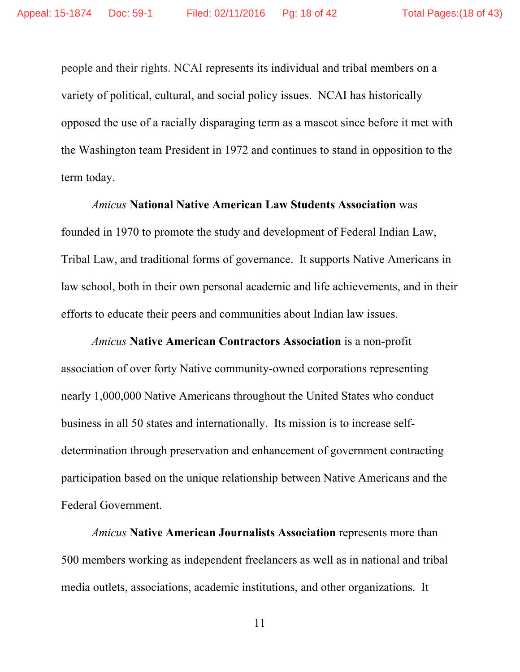people and their rights. NCAI represents its individual and tribal members on a variety of political, cultural, and social policy issues. NCAI has historically opposed the use of a racially disparaging term as a mascot since before it met with the Washington team President in 1972 and continues to stand in opposition to the term today.

*Amicus* **National Native American Law Students Association** was founded in 1970 to promote the study and development of Federal Indian Law, Tribal Law, and traditional forms of governance. It supports Native Americans in law school, both in their own personal academic and life achievements, and in their efforts to educate their peers and communities about Indian law issues.

*Amicus* **Native American Contractors Association** is a non-profit association of over forty Native community-owned corporations representing nearly 1,000,000 Native Americans throughout the United States who conduct business in all 50 states and internationally. Its mission is to increase selfdetermination through preservation and enhancement of government contracting participation based on the unique relationship between Native Americans and the Federal Government.

*Amicus* **Native American Journalists Association** represents more than 500 members working as independent freelancers as well as in national and tribal media outlets, associations, academic institutions, and other organizations. It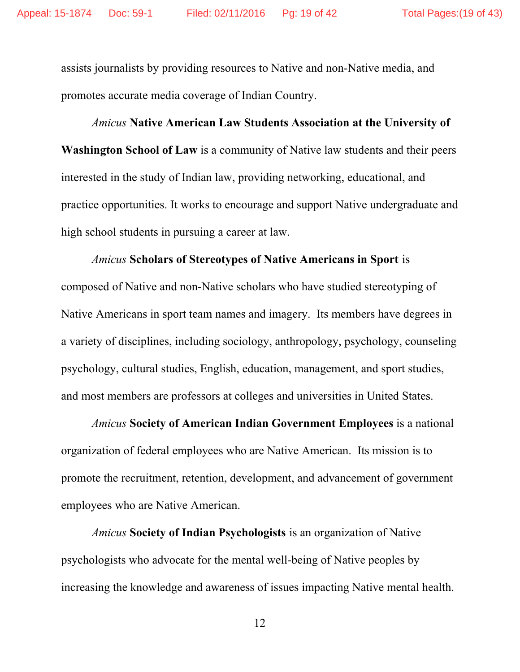assists journalists by providing resources to Native and non-Native media, and promotes accurate media coverage of Indian Country.

# *Amicus* **Native American Law Students Association at the University of Washington School of Law** is a community of Native law students and their peers interested in the study of Indian law, providing networking, educational, and practice opportunities. It works to encourage and support Native undergraduate and high school students in pursuing a career at law.

*Amicus* **Scholars of Stereotypes of Native Americans in Sport** is composed of Native and non-Native scholars who have studied stereotyping of Native Americans in sport team names and imagery. Its members have degrees in a variety of disciplines, including sociology, anthropology, psychology, counseling psychology, cultural studies, English, education, management, and sport studies, and most members are professors at colleges and universities in United States.

*Amicus* **Society of American Indian Government Employees** is a national organization of federal employees who are Native American. Its mission is to promote the recruitment, retention, development, and advancement of government employees who are Native American.

*Amicus* **Society of Indian Psychologists** is an organization of Native psychologists who advocate for the mental well-being of Native peoples by increasing the knowledge and awareness of issues impacting Native mental health.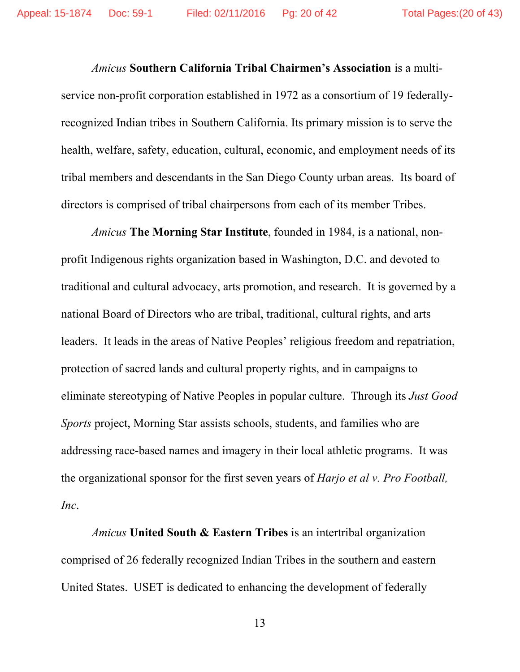*Amicus* **Southern California Tribal Chairmen's Association** is a multiservice non-profit corporation established in 1972 as a consortium of 19 federallyrecognized Indian tribes in Southern California. Its primary mission is to serve the health, welfare, safety, education, cultural, economic, and employment needs of its tribal members and descendants in the San Diego County urban areas. Its board of directors is comprised of tribal chairpersons from each of its member Tribes.

*Amicus* **The Morning Star Institute**, founded in 1984, is a national, nonprofit Indigenous rights organization based in Washington, D.C. and devoted to traditional and cultural advocacy, arts promotion, and research. It is governed by a national Board of Directors who are tribal, traditional, cultural rights, and arts leaders. It leads in the areas of Native Peoples' religious freedom and repatriation, protection of sacred lands and cultural property rights, and in campaigns to eliminate stereotyping of Native Peoples in popular culture. Through its *Just Good Sports* project, Morning Star assists schools, students, and families who are addressing race-based names and imagery in their local athletic programs. It was the organizational sponsor for the first seven years of *Harjo et al v. Pro Football, Inc*.

*Amicus* **United South & Eastern Tribes** is an intertribal organization comprised of 26 federally recognized Indian Tribes in the southern and eastern United States. USET is dedicated to enhancing the development of federally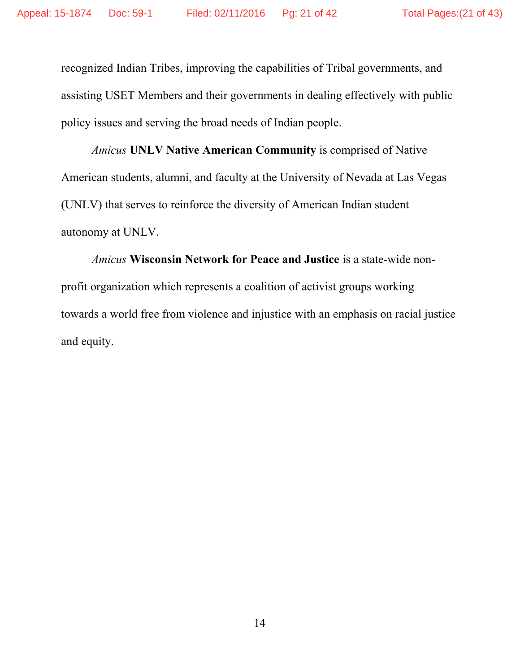recognized Indian Tribes, improving the capabilities of Tribal governments, and assisting USET Members and their governments in dealing effectively with public policy issues and serving the broad needs of Indian people.

*Amicus* **UNLV Native American Community** is comprised of Native American students, alumni, and faculty at the University of Nevada at Las Vegas (UNLV) that serves to reinforce the diversity of American Indian student autonomy at UNLV.

*Amicus* **Wisconsin Network for Peace and Justice** is a state-wide nonprofit organization which represents a coalition of activist groups working towards a world free from violence and injustice with an emphasis on racial justice and equity.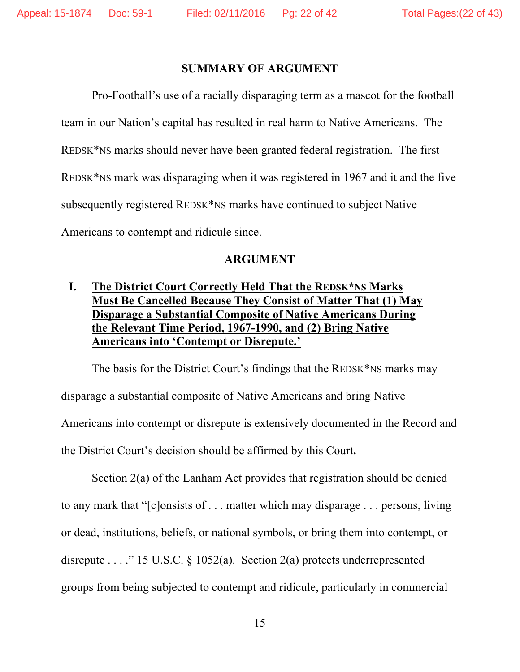#### **SUMMARY OF ARGUMENT**

Pro-Football's use of a racially disparaging term as a mascot for the football team in our Nation's capital has resulted in real harm to Native Americans. The REDSK\*NS marks should never have been granted federal registration. The first REDSK\*NS mark was disparaging when it was registered in 1967 and it and the five subsequently registered REDSK\*NS marks have continued to subject Native Americans to contempt and ridicule since.

#### **ARGUMENT**

# **I. The District Court Correctly Held That the REDSK\*NS Marks Must Be Cancelled Because They Consist of Matter That (1) May Disparage a Substantial Composite of Native Americans During the Relevant Time Period, 1967-1990, and (2) Bring Native Americans into 'Contempt or Disrepute.'**

The basis for the District Court's findings that the REDSK\*NS marks may disparage a substantial composite of Native Americans and bring Native Americans into contempt or disrepute is extensively documented in the Record and the District Court's decision should be affirmed by this Court**.** 

Section 2(a) of the Lanham Act provides that registration should be denied to any mark that "[c]onsists of . . . matter which may disparage . . . persons, living or dead, institutions, beliefs, or national symbols, or bring them into contempt, or disrepute . . . . . . . . . 15 U.S.C.  $\S$  1052(a). Section 2(a) protects underrepresented groups from being subjected to contempt and ridicule, particularly in commercial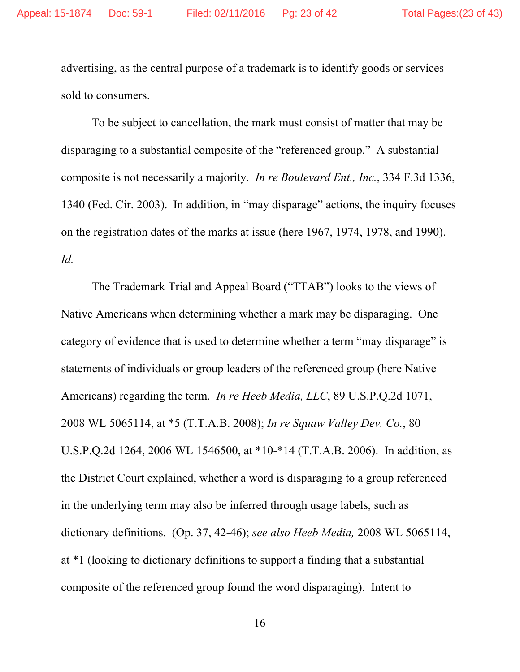advertising, as the central purpose of a trademark is to identify goods or services sold to consumers.

To be subject to cancellation, the mark must consist of matter that may be disparaging to a substantial composite of the "referenced group." A substantial composite is not necessarily a majority. *In re Boulevard Ent., Inc.*, 334 F.3d 1336, 1340 (Fed. Cir. 2003). In addition, in "may disparage" actions, the inquiry focuses on the registration dates of the marks at issue (here 1967, 1974, 1978, and 1990). *Id.* 

The Trademark Trial and Appeal Board ("TTAB") looks to the views of Native Americans when determining whether a mark may be disparaging. One category of evidence that is used to determine whether a term "may disparage" is statements of individuals or group leaders of the referenced group (here Native Americans) regarding the term. *In re Heeb Media, LLC*, 89 U.S.P.Q.2d 1071, 2008 WL 5065114, at \*5 (T.T.A.B. 2008); *In re Squaw Valley Dev. Co.*, 80 U.S.P.Q.2d 1264, 2006 WL 1546500, at \*10-\*14 (T.T.A.B. 2006). In addition, as the District Court explained, whether a word is disparaging to a group referenced in the underlying term may also be inferred through usage labels, such as dictionary definitions. (Op. 37, 42-46); *see also Heeb Media,* 2008 WL 5065114, at \*1 (looking to dictionary definitions to support a finding that a substantial composite of the referenced group found the word disparaging). Intent to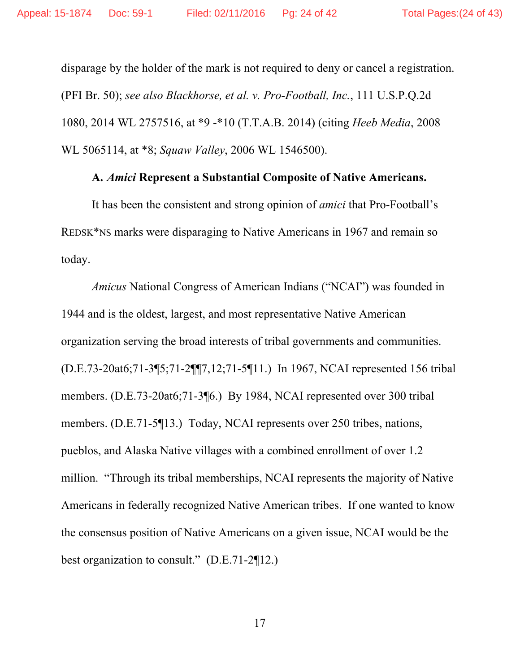disparage by the holder of the mark is not required to deny or cancel a registration. (PFI Br. 50); *see also Blackhorse, et al. v. Pro-Football, Inc.*, 111 U.S.P.Q.2d 1080, 2014 WL 2757516, at \*9 -\*10 (T.T.A.B. 2014) (citing *Heeb Media*, 2008 WL 5065114, at \*8; *Squaw Valley*, 2006 WL 1546500).

#### **A.** *Amici* **Represent a Substantial Composite of Native Americans.**

It has been the consistent and strong opinion of *amici* that Pro-Football's REDSK\*NS marks were disparaging to Native Americans in 1967 and remain so today.

*Amicus* National Congress of American Indians ("NCAI") was founded in 1944 and is the oldest, largest, and most representative Native American organization serving the broad interests of tribal governments and communities. (D.E.73-20at6;71-3¶5;71-2¶¶7,12;71-5¶11.) In 1967, NCAI represented 156 tribal members. (D.E.73-20at6;71-3¶6.) By 1984, NCAI represented over 300 tribal members. (D.E.71-5¶13.) Today, NCAI represents over 250 tribes, nations, pueblos, and Alaska Native villages with a combined enrollment of over 1.2 million. "Through its tribal memberships, NCAI represents the majority of Native Americans in federally recognized Native American tribes. If one wanted to know the consensus position of Native Americans on a given issue, NCAI would be the best organization to consult." (D.E.71-2¶12.)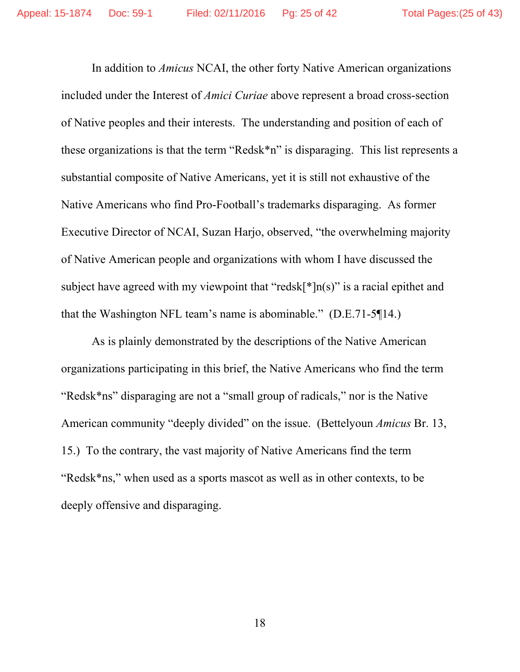In addition to *Amicus* NCAI, the other forty Native American organizations included under the Interest of *Amici Curiae* above represent a broad cross-section of Native peoples and their interests. The understanding and position of each of these organizations is that the term "Redsk\*n" is disparaging. This list represents a substantial composite of Native Americans, yet it is still not exhaustive of the Native Americans who find Pro-Football's trademarks disparaging. As former Executive Director of NCAI, Suzan Harjo, observed, "the overwhelming majority of Native American people and organizations with whom I have discussed the subject have agreed with my viewpoint that "redsk[ $*$ ]n(s)" is a racial epithet and that the Washington NFL team's name is abominable." (D.E.71-5¶14.)

As is plainly demonstrated by the descriptions of the Native American organizations participating in this brief, the Native Americans who find the term "Redsk\*ns" disparaging are not a "small group of radicals," nor is the Native American community "deeply divided" on the issue. (Bettelyoun *Amicus* Br. 13, 15.) To the contrary, the vast majority of Native Americans find the term "Redsk\*ns," when used as a sports mascot as well as in other contexts, to be deeply offensive and disparaging.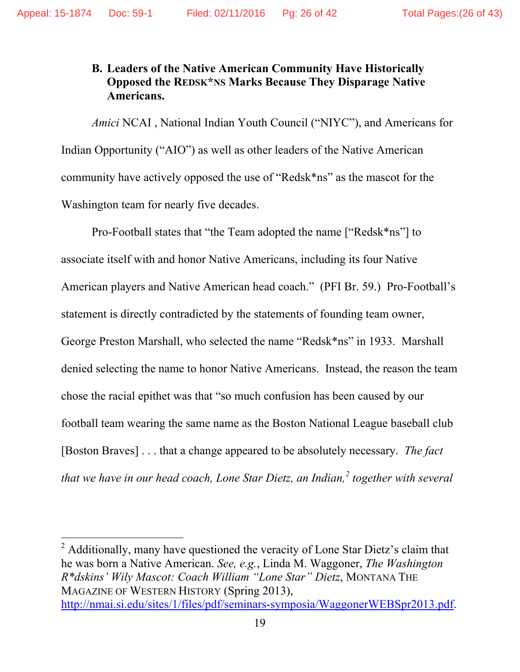# **B. Leaders of the Native American Community Have Historically Opposed the REDSK\*NS Marks Because They Disparage Native Americans.**

*Amici* NCAI , National Indian Youth Council ("NIYC"), and Americans for Indian Opportunity ("AIO") as well as other leaders of the Native American community have actively opposed the use of "Redsk\*ns" as the mascot for the Washington team for nearly five decades.

Pro-Football states that "the Team adopted the name ["Redsk\*ns"] to associate itself with and honor Native Americans, including its four Native American players and Native American head coach." (PFI Br. 59.) Pro-Football's statement is directly contradicted by the statements of founding team owner, George Preston Marshall, who selected the name "Redsk\*ns" in 1933. Marshall denied selecting the name to honor Native Americans. Instead, the reason the team chose the racial epithet was that "so much confusion has been caused by our football team wearing the same name as the Boston National League baseball club [Boston Braves] . . . that a change appeared to be absolutely necessary. *The fact that we have in our head coach, Lone Star Dietz, an Indian,<sup>2</sup> together with several* 

<sup>2</sup> Additionally, many have questioned the veracity of Lone Star Dietz's claim that he was born a Native American. *See, e.g.*, Linda M. Waggoner, *The Washington R\*dskins' Wily Mascot: Coach William "Lone Star" Dietz*, MONTANA THE MAGAZINE OF WESTERN HISTORY (Spring 2013), http://nmai.si.edu/sites/1/files/pdf/seminars-symposia/WaggonerWEBSpr2013.pdf.

 $\overline{a}$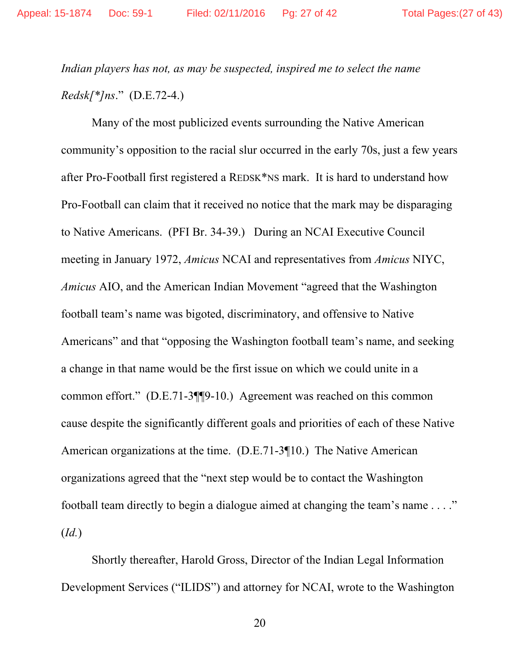*Indian players has not, as may be suspected, inspired me to select the name Redsk[\*]ns*." (D.E.72-4.)

Many of the most publicized events surrounding the Native American community's opposition to the racial slur occurred in the early 70s, just a few years after Pro-Football first registered a REDSK\*NS mark. It is hard to understand how Pro-Football can claim that it received no notice that the mark may be disparaging to Native Americans. (PFI Br. 34-39.) During an NCAI Executive Council meeting in January 1972, *Amicus* NCAI and representatives from *Amicus* NIYC, *Amicus* AIO, and the American Indian Movement "agreed that the Washington football team's name was bigoted, discriminatory, and offensive to Native Americans" and that "opposing the Washington football team's name, and seeking a change in that name would be the first issue on which we could unite in a common effort." (D.E.71-3¶¶9-10.) Agreement was reached on this common cause despite the significantly different goals and priorities of each of these Native American organizations at the time. (D.E.71-3¶10.) The Native American organizations agreed that the "next step would be to contact the Washington football team directly to begin a dialogue aimed at changing the team's name . . . ." (*Id.*)

Shortly thereafter, Harold Gross, Director of the Indian Legal Information Development Services ("ILIDS") and attorney for NCAI, wrote to the Washington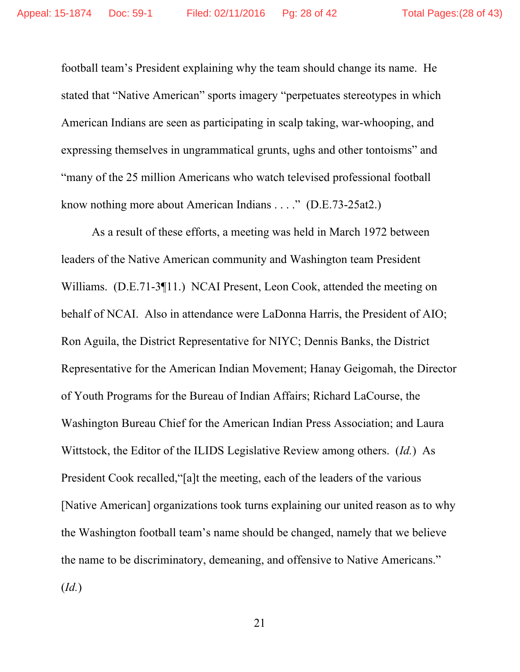football team's President explaining why the team should change its name. He stated that "Native American" sports imagery "perpetuates stereotypes in which American Indians are seen as participating in scalp taking, war-whooping, and expressing themselves in ungrammatical grunts, ughs and other tontoisms" and "many of the 25 million Americans who watch televised professional football know nothing more about American Indians . . . ." (D.E.73-25at2.)

 As a result of these efforts, a meeting was held in March 1972 between leaders of the Native American community and Washington team President Williams. (D.E.71-3¶11.) NCAI Present, Leon Cook, attended the meeting on behalf of NCAI. Also in attendance were LaDonna Harris, the President of AIO; Ron Aguila, the District Representative for NIYC; Dennis Banks, the District Representative for the American Indian Movement; Hanay Geigomah, the Director of Youth Programs for the Bureau of Indian Affairs; Richard LaCourse, the Washington Bureau Chief for the American Indian Press Association; and Laura Wittstock, the Editor of the ILIDS Legislative Review among others. (*Id.*) As President Cook recalled,"[a]t the meeting, each of the leaders of the various [Native American] organizations took turns explaining our united reason as to why the Washington football team's name should be changed, namely that we believe the name to be discriminatory, demeaning, and offensive to Native Americans." (*Id.*)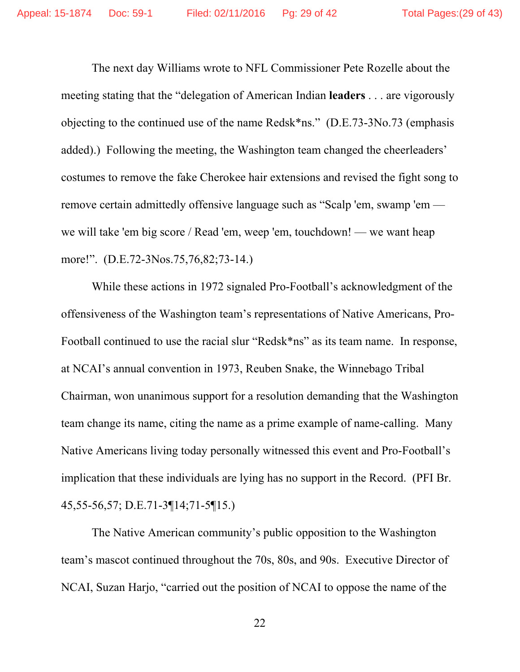The next day Williams wrote to NFL Commissioner Pete Rozelle about the meeting stating that the "delegation of American Indian **leaders** . . . are vigorously objecting to the continued use of the name Redsk\*ns." (D.E.73-3No.73 (emphasis added).) Following the meeting, the Washington team changed the cheerleaders' costumes to remove the fake Cherokee hair extensions and revised the fight song to remove certain admittedly offensive language such as "Scalp 'em, swamp 'em we will take 'em big score / Read 'em, weep 'em, touchdown! — we want heap more!". (D.E.72-3Nos.75,76,82;73-14.)

 While these actions in 1972 signaled Pro-Football's acknowledgment of the offensiveness of the Washington team's representations of Native Americans, Pro-Football continued to use the racial slur "Redsk\*ns" as its team name. In response, at NCAI's annual convention in 1973, Reuben Snake, the Winnebago Tribal Chairman, won unanimous support for a resolution demanding that the Washington team change its name, citing the name as a prime example of name-calling. Many Native Americans living today personally witnessed this event and Pro-Football's implication that these individuals are lying has no support in the Record. (PFI Br. 45,55-56,57; D.E.71-3¶14;71-5¶15.)

The Native American community's public opposition to the Washington team's mascot continued throughout the 70s, 80s, and 90s. Executive Director of NCAI, Suzan Harjo, "carried out the position of NCAI to oppose the name of the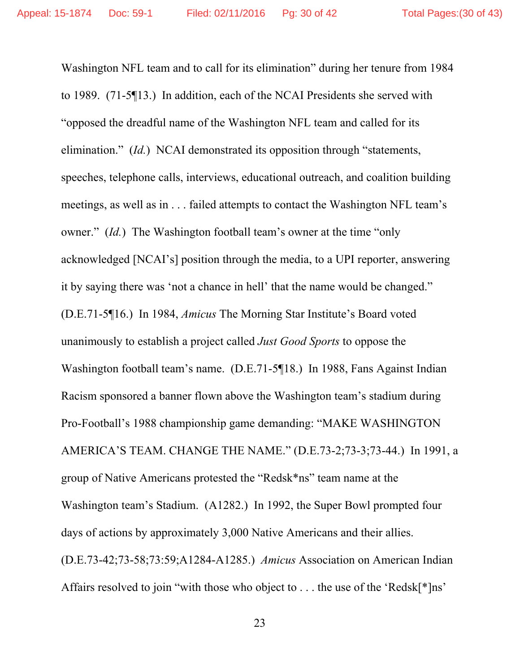Washington NFL team and to call for its elimination" during her tenure from 1984 to 1989. (71-5¶13.) In addition, each of the NCAI Presidents she served with "opposed the dreadful name of the Washington NFL team and called for its elimination." (*Id.*) NCAI demonstrated its opposition through "statements, speeches, telephone calls, interviews, educational outreach, and coalition building meetings, as well as in . . . failed attempts to contact the Washington NFL team's owner." (*Id.*) The Washington football team's owner at the time "only acknowledged [NCAI's] position through the media, to a UPI reporter, answering it by saying there was 'not a chance in hell' that the name would be changed." (D.E.71-5¶16.) In 1984, *Amicus* The Morning Star Institute's Board voted unanimously to establish a project called *Just Good Sports* to oppose the Washington football team's name. (D.E.71-5¶18.) In 1988, Fans Against Indian Racism sponsored a banner flown above the Washington team's stadium during Pro-Football's 1988 championship game demanding: "MAKE WASHINGTON AMERICA'S TEAM. CHANGE THE NAME." (D.E.73-2;73-3;73-44.) In 1991, a group of Native Americans protested the "Redsk\*ns" team name at the Washington team's Stadium. (A1282.) In 1992, the Super Bowl prompted four days of actions by approximately 3,000 Native Americans and their allies. (D.E.73-42;73-58;73:59;A1284-A1285.) *Amicus* Association on American Indian Affairs resolved to join "with those who object to . . . the use of the 'Redsk[\*]ns'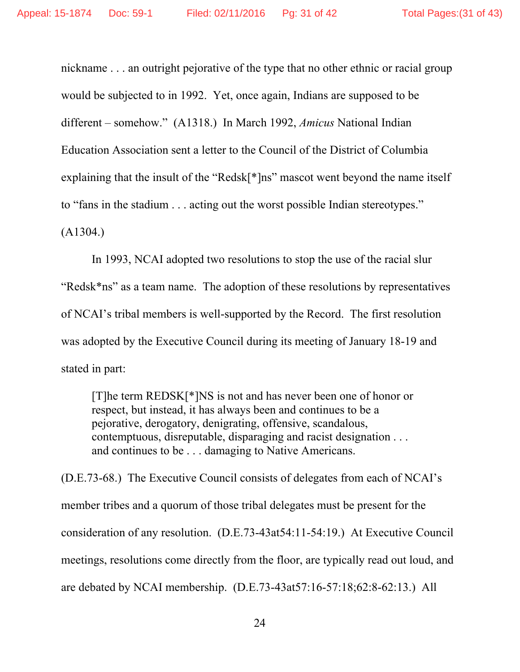nickname . . . an outright pejorative of the type that no other ethnic or racial group would be subjected to in 1992. Yet, once again, Indians are supposed to be different – somehow." (A1318.) In March 1992, *Amicus* National Indian Education Association sent a letter to the Council of the District of Columbia explaining that the insult of the "Redsk[\*]ns" mascot went beyond the name itself to "fans in the stadium . . . acting out the worst possible Indian stereotypes." (A1304.)

In 1993, NCAI adopted two resolutions to stop the use of the racial slur "Redsk\*ns" as a team name. The adoption of these resolutions by representatives of NCAI's tribal members is well-supported by the Record. The first resolution was adopted by the Executive Council during its meeting of January 18-19 and stated in part:

[T]he term REDSK[\*]NS is not and has never been one of honor or respect, but instead, it has always been and continues to be a pejorative, derogatory, denigrating, offensive, scandalous, contemptuous, disreputable, disparaging and racist designation . . . and continues to be . . . damaging to Native Americans.

(D.E.73-68.) The Executive Council consists of delegates from each of NCAI's member tribes and a quorum of those tribal delegates must be present for the consideration of any resolution. (D.E.73-43at54:11-54:19.) At Executive Council meetings, resolutions come directly from the floor, are typically read out loud, and are debated by NCAI membership. (D.E.73-43at57:16-57:18;62:8-62:13.) All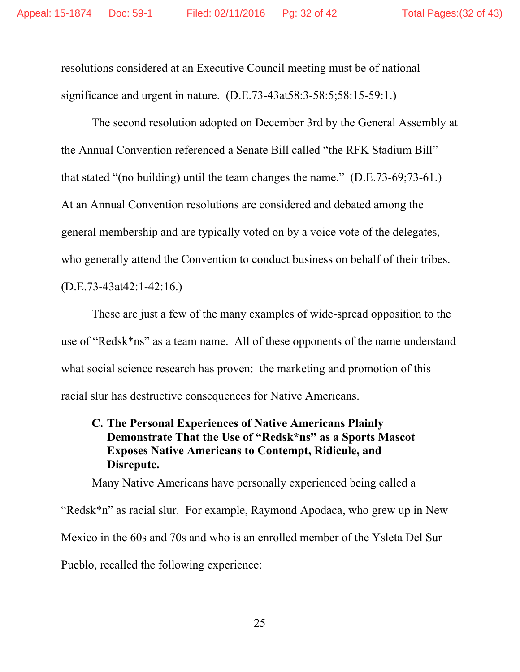resolutions considered at an Executive Council meeting must be of national significance and urgent in nature. (D.E.73-43at58:3-58:5;58:15-59:1.)

The second resolution adopted on December 3rd by the General Assembly at the Annual Convention referenced a Senate Bill called "the RFK Stadium Bill" that stated "(no building) until the team changes the name." (D.E.73-69;73-61.) At an Annual Convention resolutions are considered and debated among the general membership and are typically voted on by a voice vote of the delegates, who generally attend the Convention to conduct business on behalf of their tribes. (D.E.73-43at42:1-42:16.)

These are just a few of the many examples of wide-spread opposition to the use of "Redsk\*ns" as a team name. All of these opponents of the name understand what social science research has proven: the marketing and promotion of this racial slur has destructive consequences for Native Americans.

# **C. The Personal Experiences of Native Americans Plainly Demonstrate That the Use of "Redsk\*ns" as a Sports Mascot Exposes Native Americans to Contempt, Ridicule, and Disrepute.**

Many Native Americans have personally experienced being called a "Redsk\*n" as racial slur. For example, Raymond Apodaca, who grew up in New Mexico in the 60s and 70s and who is an enrolled member of the Ysleta Del Sur Pueblo, recalled the following experience: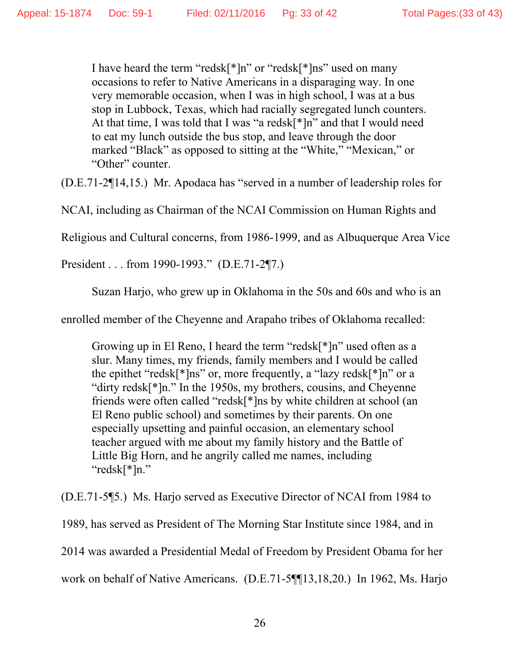I have heard the term "redsk[\*]n" or "redsk[\*]ns" used on many occasions to refer to Native Americans in a disparaging way. In one very memorable occasion, when I was in high school, I was at a bus stop in Lubbock, Texas, which had racially segregated lunch counters. At that time, I was told that I was "a redsk[\*]n" and that I would need to eat my lunch outside the bus stop, and leave through the door marked "Black" as opposed to sitting at the "White," "Mexican," or "Other" counter.

(D.E.71-2¶14,15.) Mr. Apodaca has "served in a number of leadership roles for

NCAI, including as Chairman of the NCAI Commission on Human Rights and

Religious and Cultural concerns, from 1986-1999, and as Albuquerque Area Vice

President . . . from 1990-1993." (D.E.71-2¶7.)

Suzan Harjo, who grew up in Oklahoma in the 50s and 60s and who is an

enrolled member of the Cheyenne and Arapaho tribes of Oklahoma recalled:

Growing up in El Reno, I heard the term "redsk[\*]n" used often as a slur. Many times, my friends, family members and I would be called the epithet "redsk[\*]ns" or, more frequently, a "lazy redsk[\*]n" or a "dirty redsk[\*]n." In the 1950s, my brothers, cousins, and Cheyenne friends were often called "redsk[\*]ns by white children at school (an El Reno public school) and sometimes by their parents. On one especially upsetting and painful occasion, an elementary school teacher argued with me about my family history and the Battle of Little Big Horn, and he angrily called me names, including "redsk[\*]n."

(D.E.71-5¶5.) Ms. Harjo served as Executive Director of NCAI from 1984 to

1989, has served as President of The Morning Star Institute since 1984, and in

2014 was awarded a Presidential Medal of Freedom by President Obama for her

work on behalf of Native Americans. (D.E.71-5¶¶13,18,20.) In 1962, Ms. Harjo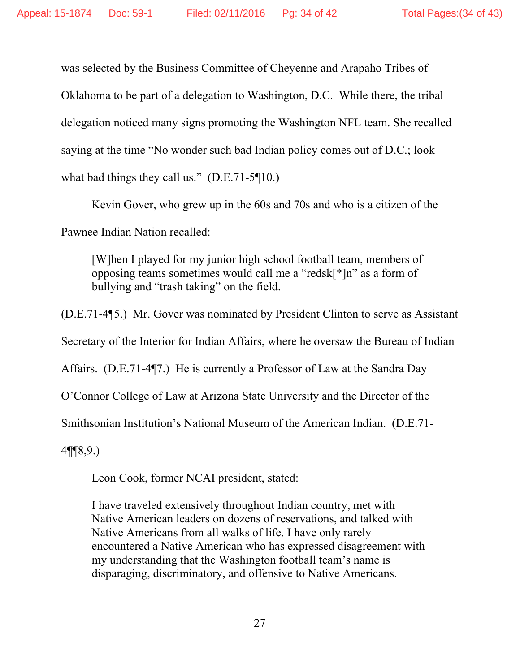was selected by the Business Committee of Cheyenne and Arapaho Tribes of Oklahoma to be part of a delegation to Washington, D.C. While there, the tribal delegation noticed many signs promoting the Washington NFL team. She recalled saying at the time "No wonder such bad Indian policy comes out of D.C.; look what bad things they call us." (D.E.71-5¶10.)

Kevin Gover, who grew up in the 60s and 70s and who is a citizen of the Pawnee Indian Nation recalled:

[W]hen I played for my junior high school football team, members of opposing teams sometimes would call me a "redsk[\*]n" as a form of bullying and "trash taking" on the field.

(D.E.71-4¶5.) Mr. Gover was nominated by President Clinton to serve as Assistant Secretary of the Interior for Indian Affairs, where he oversaw the Bureau of Indian Affairs. (D.E.71-4¶7.) He is currently a Professor of Law at the Sandra Day O'Connor College of Law at Arizona State University and the Director of the Smithsonian Institution's National Museum of the American Indian. (D.E.71-

4¶¶8,9.)

Leon Cook, former NCAI president, stated:

I have traveled extensively throughout Indian country, met with Native American leaders on dozens of reservations, and talked with Native Americans from all walks of life. I have only rarely encountered a Native American who has expressed disagreement with my understanding that the Washington football team's name is disparaging, discriminatory, and offensive to Native Americans.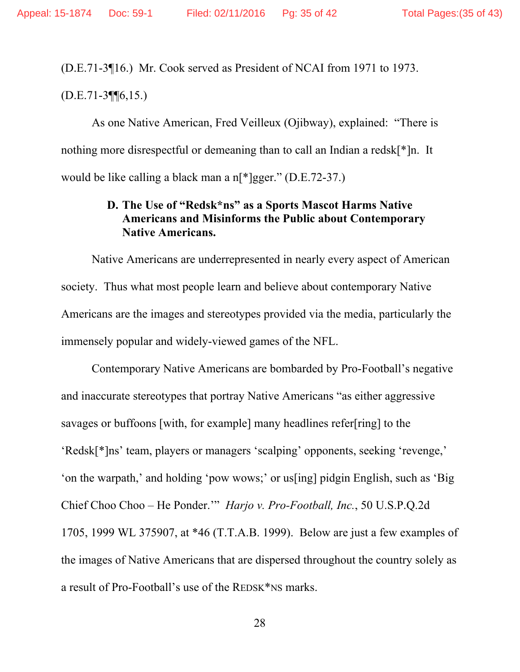(D.E.71-3¶16.) Mr. Cook served as President of NCAI from 1971 to 1973.

(D.E.71-3¶¶6,15.)

As one Native American, Fred Veilleux (Ojibway), explained: "There is nothing more disrespectful or demeaning than to call an Indian a redsk[\*]n. It would be like calling a black man a n[\*]gger." (D.E.72-37.)

# **D. The Use of "Redsk\*ns" as a Sports Mascot Harms Native Americans and Misinforms the Public about Contemporary Native Americans.**

Native Americans are underrepresented in nearly every aspect of American society. Thus what most people learn and believe about contemporary Native Americans are the images and stereotypes provided via the media, particularly the immensely popular and widely-viewed games of the NFL.

Contemporary Native Americans are bombarded by Pro-Football's negative and inaccurate stereotypes that portray Native Americans "as either aggressive savages or buffoons [with, for example] many headlines refer[ring] to the 'Redsk[\*]ns' team, players or managers 'scalping' opponents, seeking 'revenge,' 'on the warpath,' and holding 'pow wows;' or us[ing] pidgin English, such as 'Big Chief Choo Choo – He Ponder.'" *Harjo v. Pro-Football, Inc.*, 50 U.S.P.Q.2d 1705, 1999 WL 375907, at \*46 (T.T.A.B. 1999). Below are just a few examples of the images of Native Americans that are dispersed throughout the country solely as a result of Pro-Football's use of the REDSK\*NS marks.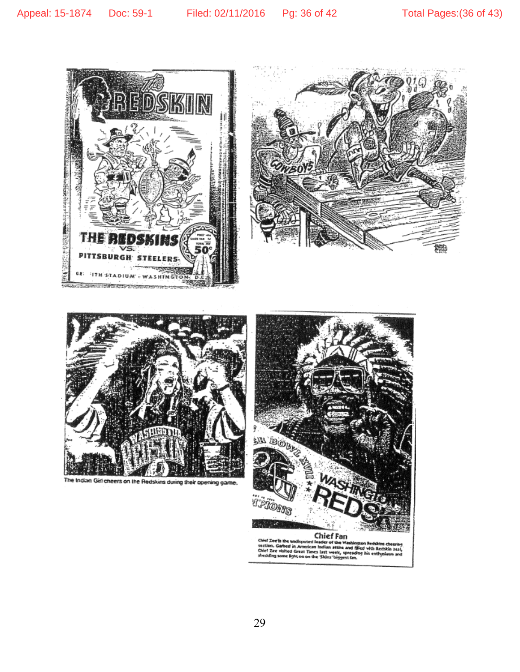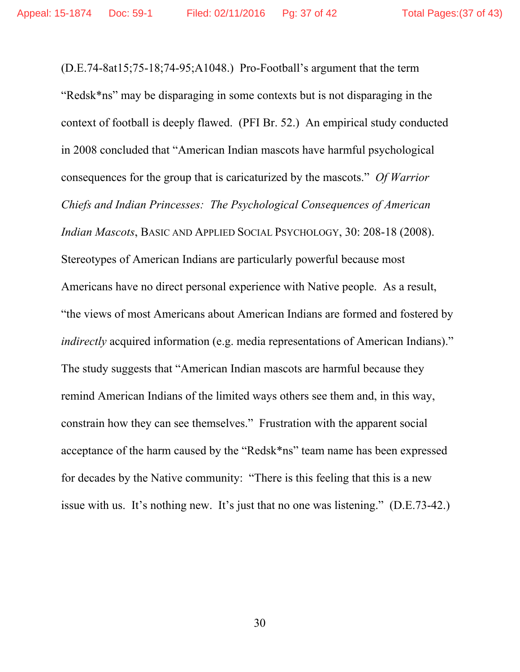(D.E.74-8at15;75-18;74-95;A1048.) Pro-Football's argument that the term "Redsk\*ns" may be disparaging in some contexts but is not disparaging in the context of football is deeply flawed. (PFI Br. 52.) An empirical study conducted in 2008 concluded that "American Indian mascots have harmful psychological consequences for the group that is caricaturized by the mascots." *Of Warrior Chiefs and Indian Princesses: The Psychological Consequences of American Indian Mascots*, BASIC AND APPLIED SOCIAL PSYCHOLOGY, 30: 208-18 (2008). Stereotypes of American Indians are particularly powerful because most Americans have no direct personal experience with Native people. As a result, "the views of most Americans about American Indians are formed and fostered by *indirectly* acquired information (e.g. media representations of American Indians)." The study suggests that "American Indian mascots are harmful because they remind American Indians of the limited ways others see them and, in this way, constrain how they can see themselves." Frustration with the apparent social acceptance of the harm caused by the "Redsk\*ns" team name has been expressed for decades by the Native community: "There is this feeling that this is a new issue with us. It's nothing new. It's just that no one was listening." (D.E.73-42.)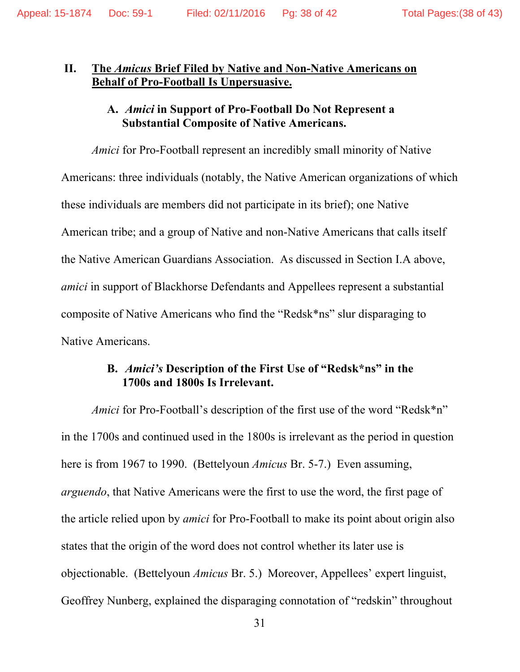## **II. The** *Amicus* **Brief Filed by Native and Non-Native Americans on Behalf of Pro-Football Is Unpersuasive.**

# **A.** *Amici* **in Support of Pro-Football Do Not Represent a Substantial Composite of Native Americans.**

*Amici* for Pro-Football represent an incredibly small minority of Native Americans: three individuals (notably, the Native American organizations of which these individuals are members did not participate in its brief); one Native American tribe; and a group of Native and non-Native Americans that calls itself the Native American Guardians Association. As discussed in Section I.A above, *amici* in support of Blackhorse Defendants and Appellees represent a substantial composite of Native Americans who find the "Redsk\*ns" slur disparaging to Native Americans.

# **B.** *Amici's* **Description of the First Use of "Redsk\*ns" in the 1700s and 1800s Is Irrelevant.**

*Amici* for Pro-Football's description of the first use of the word "Redsk\*n" in the 1700s and continued used in the 1800s is irrelevant as the period in question here is from 1967 to 1990. (Bettelyoun *Amicus* Br. 5-7.) Even assuming, *arguendo*, that Native Americans were the first to use the word, the first page of the article relied upon by *amici* for Pro-Football to make its point about origin also states that the origin of the word does not control whether its later use is objectionable. (Bettelyoun *Amicus* Br. 5.) Moreover, Appellees' expert linguist, Geoffrey Nunberg, explained the disparaging connotation of "redskin" throughout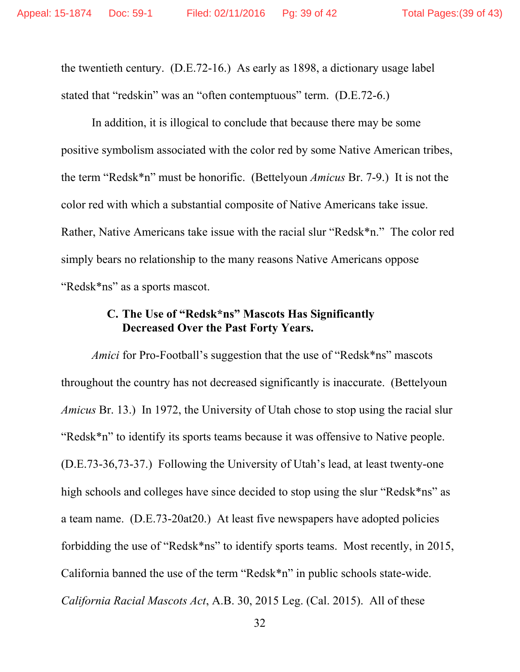the twentieth century. (D.E.72-16.) As early as 1898, a dictionary usage label stated that "redskin" was an "often contemptuous" term. (D.E.72-6.)

In addition, it is illogical to conclude that because there may be some positive symbolism associated with the color red by some Native American tribes, the term "Redsk\*n" must be honorific. (Bettelyoun *Amicus* Br. 7-9.) It is not the color red with which a substantial composite of Native Americans take issue. Rather, Native Americans take issue with the racial slur "Redsk\*n." The color red simply bears no relationship to the many reasons Native Americans oppose "Redsk\*ns" as a sports mascot.

# **C. The Use of "Redsk\*ns" Mascots Has Significantly Decreased Over the Past Forty Years.**

*Amici* for Pro-Football's suggestion that the use of "Redsk\*ns" mascots throughout the country has not decreased significantly is inaccurate. (Bettelyoun *Amicus* Br. 13.) In 1972, the University of Utah chose to stop using the racial slur "Redsk\*n" to identify its sports teams because it was offensive to Native people. (D.E.73-36,73-37.) Following the University of Utah's lead, at least twenty-one high schools and colleges have since decided to stop using the slur "Redsk\*ns" as a team name. (D.E.73-20at20.) At least five newspapers have adopted policies forbidding the use of "Redsk\*ns" to identify sports teams. Most recently, in 2015, California banned the use of the term "Redsk\*n" in public schools state-wide. *California Racial Mascots Act*, A.B. 30, 2015 Leg. (Cal. 2015). All of these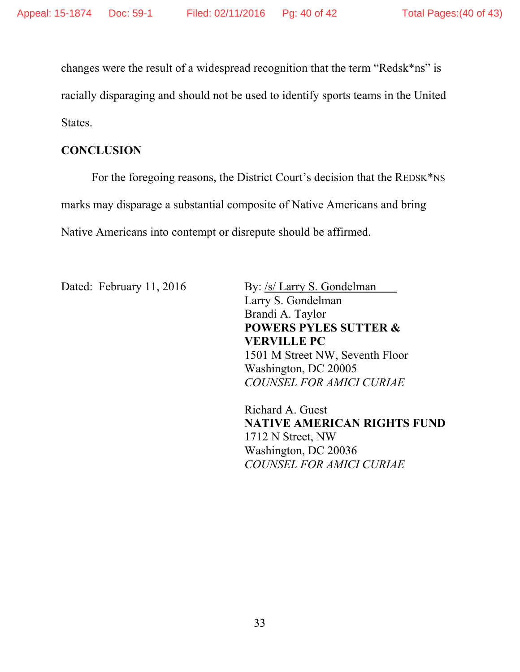changes were the result of a widespread recognition that the term "Redsk\*ns" is racially disparaging and should not be used to identify sports teams in the United States.

## **CONCLUSION**

For the foregoing reasons, the District Court's decision that the REDSK\*NS marks may disparage a substantial composite of Native Americans and bring Native Americans into contempt or disrepute should be affirmed.

Dated: February 11, 2016 By: /s/ Larry S. Gondelman

Larry S. Gondelman Brandi A. Taylor **POWERS PYLES SUTTER & VERVILLE PC**  1501 M Street NW, Seventh Floor Washington, DC 20005 *COUNSEL FOR AMICI CURIAE* 

Richard A. Guest **NATIVE AMERICAN RIGHTS FUND**  1712 N Street, NW Washington, DC 20036 *COUNSEL FOR AMICI CURIAE*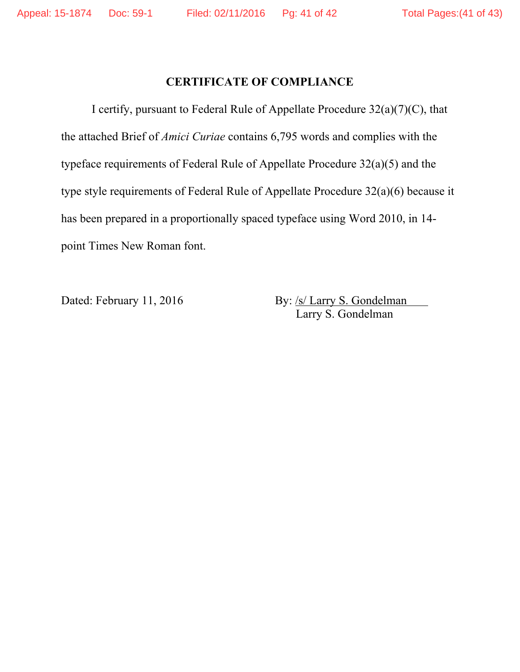# **CERTIFICATE OF COMPLIANCE**

 I certify, pursuant to Federal Rule of Appellate Procedure 32(a)(7)(C), that the attached Brief of *Amici Curiae* contains 6,795 words and complies with the typeface requirements of Federal Rule of Appellate Procedure 32(a)(5) and the type style requirements of Federal Rule of Appellate Procedure 32(a)(6) because it has been prepared in a proportionally spaced typeface using Word 2010, in 14 point Times New Roman font.

Dated: February 11, 2016 By: /s/ Larry S. Gondelman Larry S. Gondelman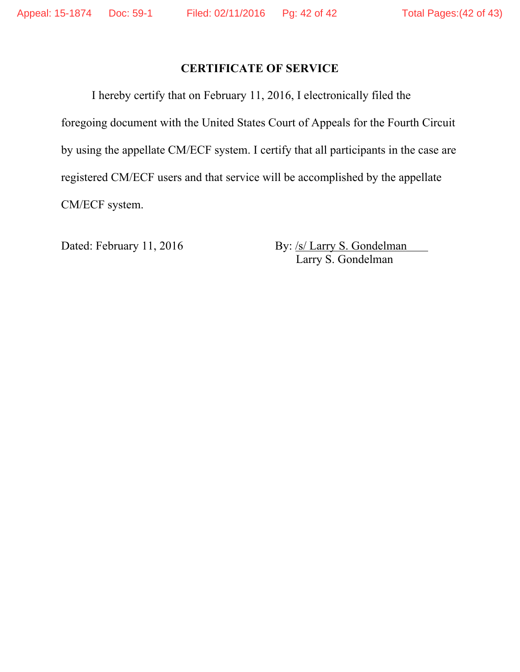# **CERTIFICATE OF SERVICE**

 I hereby certify that on February 11, 2016, I electronically filed the foregoing document with the United States Court of Appeals for the Fourth Circuit by using the appellate CM/ECF system. I certify that all participants in the case are registered CM/ECF users and that service will be accomplished by the appellate CM/ECF system.

Dated: February 11, 2016 By: /s/ Larry S. Gondelman Larry S. Gondelman